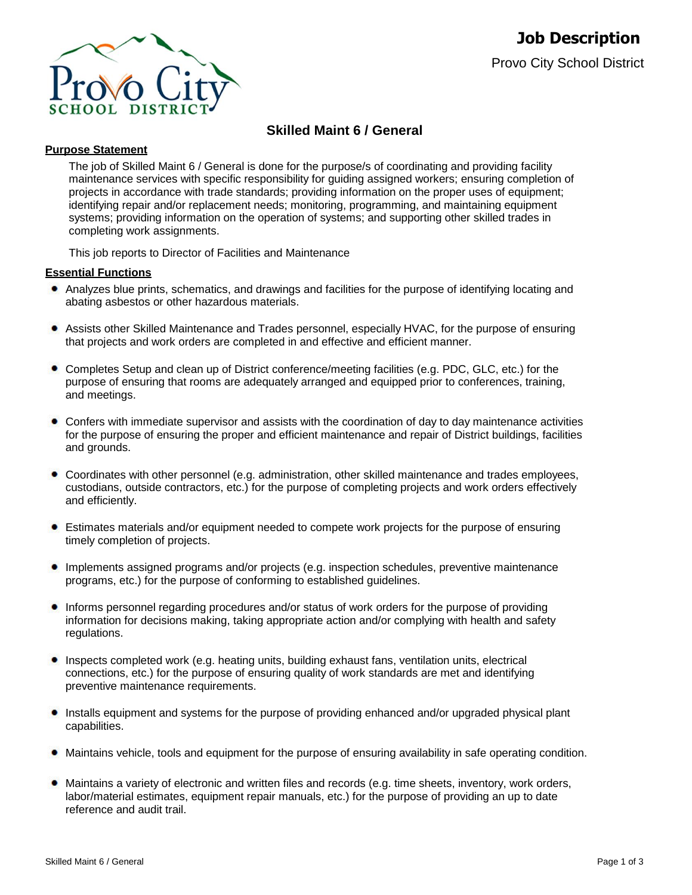

# **Skilled Maint 6 / General**

#### **Purpose Statement**

The job of Skilled Maint 6 / General is done for the purpose/s of coordinating and providing facility maintenance services with specific responsibility for guiding assigned workers; ensuring completion of projects in accordance with trade standards; providing information on the proper uses of equipment; identifying repair and/or replacement needs; monitoring, programming, and maintaining equipment systems; providing information on the operation of systems; and supporting other skilled trades in completing work assignments.

This job reports to Director of Facilities and Maintenance

### **Essential Functions**

- Analyzes blue prints, schematics, and drawings and facilities for the purpose of identifying locating and abating asbestos or other hazardous materials.
- Assists other Skilled Maintenance and Trades personnel, especially HVAC, for the purpose of ensuring that projects and work orders are completed in and effective and efficient manner.
- Completes Setup and clean up of District conference/meeting facilities (e.g. PDC, GLC, etc.) for the purpose of ensuring that rooms are adequately arranged and equipped prior to conferences, training, and meetings.
- Confers with immediate supervisor and assists with the coordination of day to day maintenance activities for the purpose of ensuring the proper and efficient maintenance and repair of District buildings, facilities and grounds.
- Coordinates with other personnel (e.g. administration, other skilled maintenance and trades employees, custodians, outside contractors, etc.) for the purpose of completing projects and work orders effectively and efficiently.
- $\bullet$ Estimates materials and/or equipment needed to compete work projects for the purpose of ensuring timely completion of projects.
- Implements assigned programs and/or projects (e.g. inspection schedules, preventive maintenance programs, etc.) for the purpose of conforming to established guidelines.
- Informs personnel regarding procedures and/or status of work orders for the purpose of providing information for decisions making, taking appropriate action and/or complying with health and safety regulations.
- Inspects completed work (e.g. heating units, building exhaust fans, ventilation units, electrical connections, etc.) for the purpose of ensuring quality of work standards are met and identifying preventive maintenance requirements.
- Installs equipment and systems for the purpose of providing enhanced and/or upgraded physical plant capabilities.
- Maintains vehicle, tools and equipment for the purpose of ensuring availability in safe operating condition.
- Maintains a variety of electronic and written files and records (e.g. time sheets, inventory, work orders, labor/material estimates, equipment repair manuals, etc.) for the purpose of providing an up to date reference and audit trail.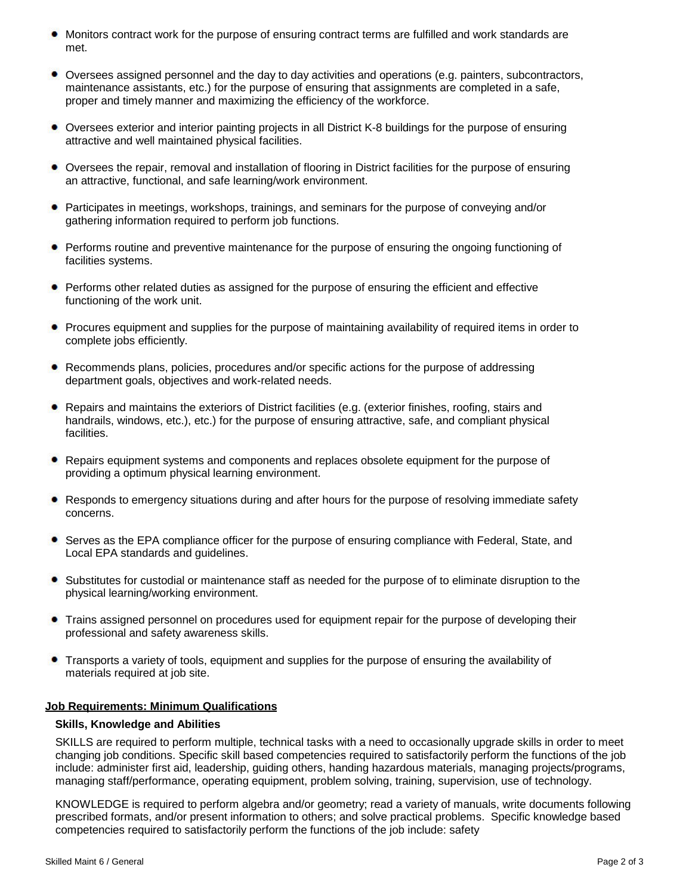- Monitors contract work for the purpose of ensuring contract terms are fulfilled and work standards are met.
- Oversees assigned personnel and the day to day activities and operations (e.g. painters, subcontractors, maintenance assistants, etc.) for the purpose of ensuring that assignments are completed in a safe, proper and timely manner and maximizing the efficiency of the workforce.
- Oversees exterior and interior painting projects in all District K-8 buildings for the purpose of ensuring attractive and well maintained physical facilities.
- Oversees the repair, removal and installation of flooring in District facilities for the purpose of ensuring an attractive, functional, and safe learning/work environment.
- Participates in meetings, workshops, trainings, and seminars for the purpose of conveying and/or gathering information required to perform job functions.
- **Performs routine and preventive maintenance for the purpose of ensuring the ongoing functioning of** facilities systems.
- Performs other related duties as assigned for the purpose of ensuring the efficient and effective functioning of the work unit.
- Procures equipment and supplies for the purpose of maintaining availability of required items in order to complete jobs efficiently.
- Recommends plans, policies, procedures and/or specific actions for the purpose of addressing department goals, objectives and work-related needs.
- Repairs and maintains the exteriors of District facilities (e.g. (exterior finishes, roofing, stairs and handrails, windows, etc.), etc.) for the purpose of ensuring attractive, safe, and compliant physical facilities.
- Repairs equipment systems and components and replaces obsolete equipment for the purpose of providing a optimum physical learning environment.
- Responds to emergency situations during and after hours for the purpose of resolving immediate safety concerns.
- $\bullet$ Serves as the EPA compliance officer for the purpose of ensuring compliance with Federal, State, and Local EPA standards and guidelines.
- Substitutes for custodial or maintenance staff as needed for the purpose of to eliminate disruption to the physical learning/working environment.
- Trains assigned personnel on procedures used for equipment repair for the purpose of developing their professional and safety awareness skills.
- Transports a variety of tools, equipment and supplies for the purpose of ensuring the availability of ۰ materials required at job site.

#### **Job Requirements: Minimum Qualifications**

#### **Skills, Knowledge and Abilities**

SKILLS are required to perform multiple, technical tasks with a need to occasionally upgrade skills in order to meet changing job conditions. Specific skill based competencies required to satisfactorily perform the functions of the job include: administer first aid, leadership, guiding others, handing hazardous materials, managing projects/programs, managing staff/performance, operating equipment, problem solving, training, supervision, use of technology.

KNOWLEDGE is required to perform algebra and/or geometry; read a variety of manuals, write documents following prescribed formats, and/or present information to others; and solve practical problems. Specific knowledge based competencies required to satisfactorily perform the functions of the job include: safety